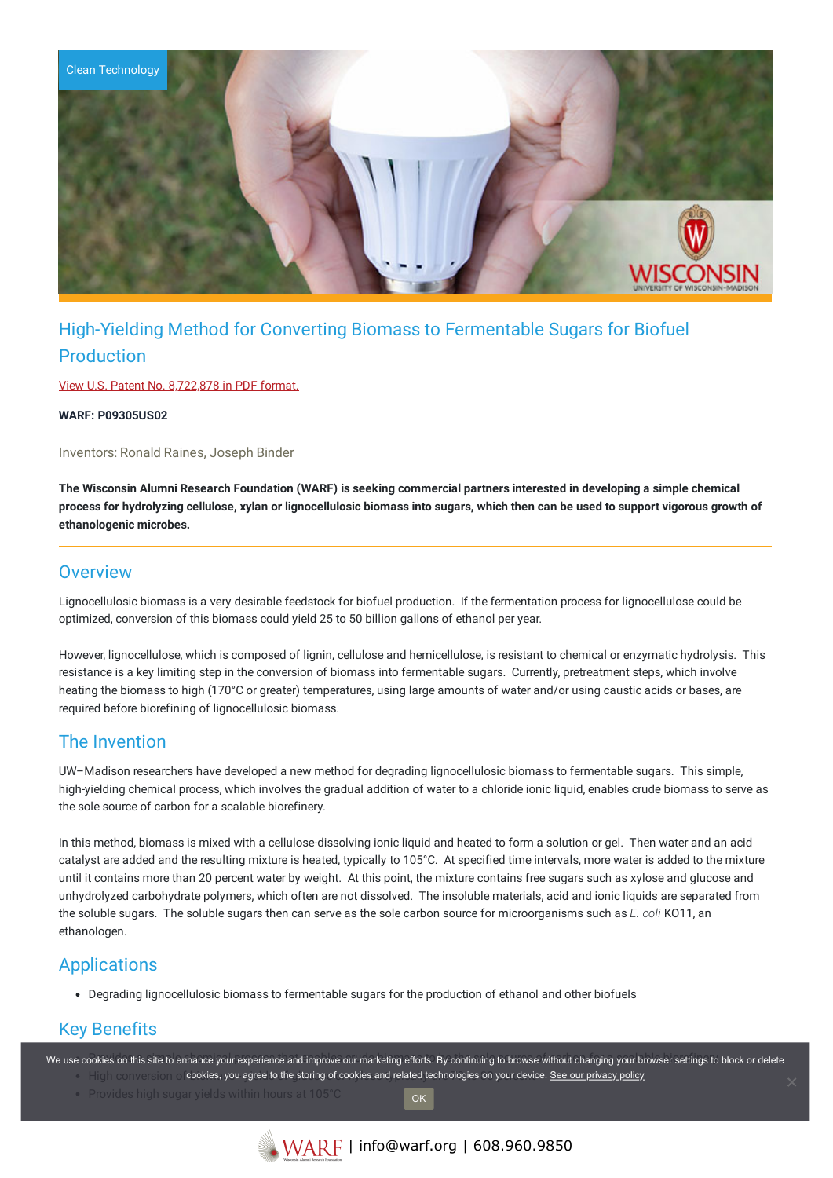

# High-Yielding Method for Converting Biomass to Fermentable Sugars for Biofuel Production

View U.S. Patent No. [8,722,878](https://www.warf.org/wp-content/uploads/technologies/ipstatus/P09305US02.pdf) in PDF format.

**WARF: P09305US02**

Inventors: Ronald Raines, Joseph Binder

The Wisconsin Alumni Research Foundation (WARF) is seeking commercial partners interested in developing a simple chemical process for hydrolyzing cellulose, xylan or lignocellulosic biomass into sugars, which then can be used to support vigorous growth of **ethanologenic microbes.**

#### **Overview**

Lignocellulosic biomass is a very desirable feedstock for biofuel production. If the fermentation process for lignocellulose could be optimized, conversion of this biomass could yield 25 to 50 billion gallons of ethanol per year.

However, lignocellulose, which is composed of lignin, cellulose and hemicellulose, is resistant to chemical or enzymatic hydrolysis. This resistance is a key limiting step in the conversion of biomass into fermentable sugars. Currently, pretreatment steps, which involve heating the biomass to high (170°C or greater) temperatures, using large amounts of water and/or using caustic acids or bases, are required before biorefining of lignocellulosic biomass.

### The Invention

UW–Madison researchers have developed a new method for degrading lignocellulosic biomass to fermentable sugars. This simple, high-yielding chemical process, which involves the gradual addition of water to a chloride ionic liquid, enables crude biomass to serve as the sole source of carbon for a scalable biorefinery.

In this method, biomass is mixed with a cellulose-dissolving ionic liquid and heated to form a solution or gel. Then water and an acid catalyst are added and the resulting mixture is heated, typically to 105°C. At specified time intervals, more water is added to the mixture until it contains more than 20 percent water by weight. At this point, the mixture contains free sugars such as xylose and glucose and unhydrolyzed carbohydrate polymers, which often are not dissolved. The insoluble materials, acid and ionic liquids are separated from the soluble sugars. The soluble sugars then can serve as the sole carbon source for microorganisms such as *E. coli* KO11, an ethanologen.

## **Applications**

Degrading lignocellulosic biomass to fermentable sugars for the production of ethanol and other biofuels

# Key Benefits

We use cookies on this site to enhance your experience and improve our marketing efforts. By continuing to browse without changing your browser settings to block or delete High conversion of cookies, you agree to the storing of cookies and related technologies on your device. [See our privacy policy](https://www.warf.org/privacy-policy/)

• Provides high sugar yields within hours at 105°C